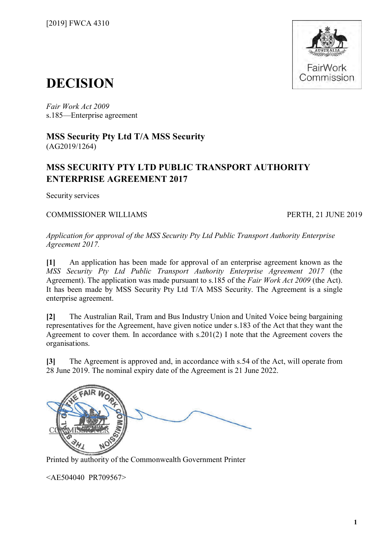

## **DECISION**

*Fair Work Act 2009*  s.185—Enterprise agreement

**MSS Security Pty Ltd T/A MSS Security** (AG2019/1264)

### **MSS SECURITY PTY LTD PUBLIC TRANSPORT AUTHORITY ENTERPRISE AGREEMENT 2017**

Security services

COMMISSIONER WILLIAMS PERTH, 21 JUNE 2019

*Application for approval of the MSS Security Pty Ltd Public Transport Authority Enterprise Agreement 2017.*

**[1]** An application has been made for approval of an enterprise agreement known as the *MSS Security Pty Ltd Public Transport Authority Enterprise Agreement 2017* (the Agreement). The application was made pursuant to s.185 of the *Fair Work Act 2009* (the Act). It has been made by MSS Security Pty Ltd T/A MSS Security. The Agreement is a single enterprise agreement.

**[2]** The Australian Rail, Tram and Bus Industry Union and United Voice being bargaining representatives for the Agreement, have given notice under s.183 of the Act that they want the Agreement to cover them. In accordance with s.201(2) I note that the Agreement covers the organisations.

**[3]** The Agreement is approved and, in accordance with s.54 of the Act, will operate from 28 June 2019. The nominal expiry date of the Agreement is 21 June 2022.



Printed by authority of the Commonwealth Government Printer

<AE504040 PR709567>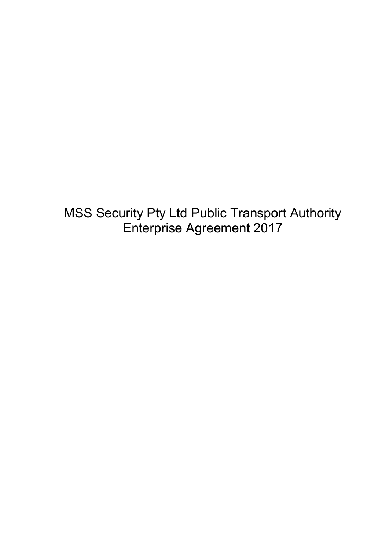MSS Security Pty Ltd Public Transport Authority Enterprise Agreement 2017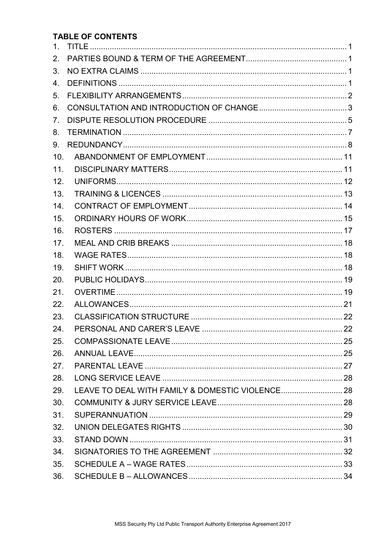#### **TABLE OF CONTENTS**

| 1 <sub>1</sub>  |  |
|-----------------|--|
| 2.              |  |
| 3.              |  |
| 4.              |  |
| 5 <sub>1</sub>  |  |
| 6.              |  |
| 7 <sub>1</sub>  |  |
| 8.              |  |
| 9.              |  |
| 10 <sub>1</sub> |  |
| 11.             |  |
| 12.             |  |
| 13.             |  |
| 14.             |  |
| 15.             |  |
| 16.             |  |
| 17.             |  |
| 18.             |  |
| 19.             |  |
| 20.             |  |
| 21.             |  |
| 22.             |  |
| 23.             |  |
| 24.             |  |
| 25.             |  |
| 26.             |  |
| 27.             |  |
| 28.             |  |
| 29.             |  |
| 30.             |  |
| 31.             |  |
| 32.             |  |
| 33.             |  |
| 34.             |  |
| 35.             |  |
| 36.             |  |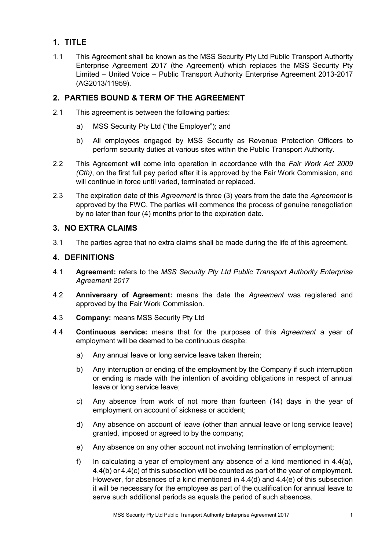#### <span id="page-3-0"></span>**1. TITLE**

1.1 This Agreement shall be known as the MSS Security Pty Ltd Public Transport Authority Enterprise Agreement 2017 (the Agreement) which replaces the MSS Security Pty Limited – United Voice – Public Transport Authority Enterprise Agreement 2013-2017 (AG2013/11959).

#### <span id="page-3-1"></span>**2. PARTIES BOUND & TERM OF THE AGREEMENT**

- 2.1 This agreement is between the following parties:
	- a) MSS Security Pty Ltd ("the Employer"); and
	- b) All employees engaged by MSS Security as Revenue Protection Officers to perform security duties at various sites within the Public Transport Authority.
- 2.2 This Agreement will come into operation in accordance with the *Fair Work Act 2009 (Cth)*, on the first full pay period after it is approved by the Fair Work Commission, and will continue in force until varied, terminated or replaced.
- 2.3 The expiration date of this *Agreement* is three (3) years from the date the *Agreement* is approved by the FWC. The parties will commence the process of genuine renegotiation by no later than four (4) months prior to the expiration date.

#### <span id="page-3-2"></span>**3. NO EXTRA CLAIMS**

3.1 The parties agree that no extra claims shall be made during the life of this agreement.

#### <span id="page-3-3"></span>**4. DEFINITIONS**

- 4.1 **Agreement:** refers to the *MSS Security Pty Ltd Public Transport Authority Enterprise Agreement 2017*
- 4.2 **Anniversary of Agreement:** means the date the *Agreement* was registered and approved by the Fair Work Commission.
- 4.3 **Company:** means MSS Security Pty Ltd
- 4.4 **Continuous service:** means that for the purposes of this *Agreement* a year of employment will be deemed to be continuous despite:
	- a) Any annual leave or long service leave taken therein;
	- b) Any interruption or ending of the employment by the Company if such interruption or ending is made with the intention of avoiding obligations in respect of annual leave or long service leave;
	- c) Any absence from work of not more than fourteen (14) days in the year of employment on account of sickness or accident;
	- d) Any absence on account of leave (other than annual leave or long service leave) granted, imposed or agreed to by the company;
	- e) Any absence on any other account not involving termination of employment;
	- f) In calculating a year of employment any absence of a kind mentioned in 4.4(a), 4.4(b) or 4.4(c) of this subsection will be counted as part of the year of employment. However, for absences of a kind mentioned in 4.4(d) and 4.4(e) of this subsection it will be necessary for the employee as part of the qualification for annual leave to serve such additional periods as equals the period of such absences.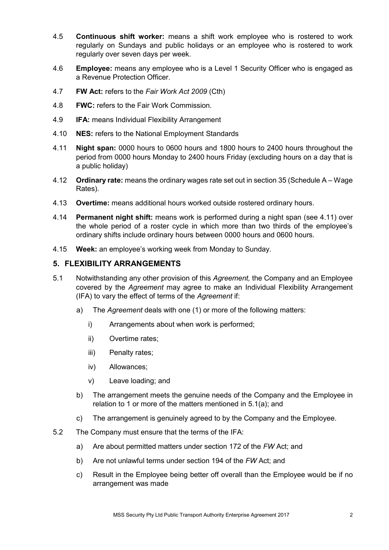- 4.5 **Continuous shift worker:** means a shift work employee who is rostered to work regularly on Sundays and public holidays or an employee who is rostered to work regularly over seven days per week.
- 4.6 **Employee:** means any employee who is a Level 1 Security Officer who is engaged as a Revenue Protection Officer.
- 4.7 **FW Act:** refers to the *Fair Work Act 2009* (Cth)
- 4.8 **FWC:** refers to the Fair Work Commission.
- 4.9 **IFA:** means Individual Flexibility Arrangement
- 4.10 **NES:** refers to the National Employment Standards
- 4.11 **Night span:** 0000 hours to 0600 hours and 1800 hours to 2400 hours throughout the period from 0000 hours Monday to 2400 hours Friday (excluding hours on a day that is a public holiday)
- 4.12 **Ordinary rate:** means the ordinary wages rate set out in section 35 (Schedule A Wage Rates).
- 4.13 **Overtime:** means additional hours worked outside rostered ordinary hours.
- 4.14 **Permanent night shift:** means work is performed during a night span (see 4.11) over the whole period of a roster cycle in which more than two thirds of the employee's ordinary shifts include ordinary hours between 0000 hours and 0600 hours.
- 4.15 **Week:** an employee's working week from Monday to Sunday.

#### <span id="page-4-0"></span>**5. FLEXIBILITY ARRANGEMENTS**

- 5.1 Notwithstanding any other provision of this *Agreement,* the Company and an Employee covered by the *Agreement* may agree to make an Individual Flexibility Arrangement (IFA) to vary the effect of terms of the *Agreement* if:
	- a) The *Agreement* deals with one (1) or more of the following matters:
		- i) Arrangements about when work is performed;
		- ii) Overtime rates;
		- iii) Penalty rates;
		- iv) Allowances;
		- v) Leave loading; and
	- b) The arrangement meets the genuine needs of the Company and the Employee in relation to 1 or more of the matters mentioned in 5.1(a); and
	- c) The arrangement is genuinely agreed to by the Company and the Employee.
- 5.2 The Company must ensure that the terms of the IFA:
	- a) Are about permitted matters under section 172 of the *FW* Act; and
	- b) Are not unlawful terms under section 194 of the *FW* Act; and
	- c) Result in the Employee being better off overall than the Employee would be if no arrangement was made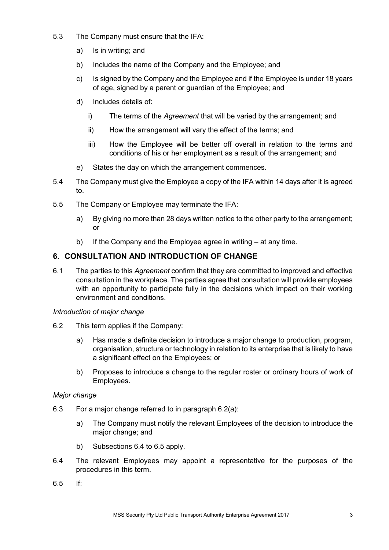- 5.3 The Company must ensure that the IFA:
	- a) Is in writing; and
	- b) Includes the name of the Company and the Employee; and
	- c) Is signed by the Company and the Employee and if the Employee is under 18 years of age, signed by a parent or guardian of the Employee; and
	- d) Includes details of:
		- i) The terms of the *Agreement* that will be varied by the arrangement; and
		- ii) How the arrangement will vary the effect of the terms; and
		- iii) How the Employee will be better off overall in relation to the terms and conditions of his or her employment as a result of the arrangement; and
	- e) States the day on which the arrangement commences.
- 5.4 The Company must give the Employee a copy of the IFA within 14 days after it is agreed to.
- 5.5 The Company or Employee may terminate the IFA:
	- a) By giving no more than 28 days written notice to the other party to the arrangement; or
	- b) If the Company and the Employee agree in writing at any time.

#### <span id="page-5-0"></span>**6. CONSULTATION AND INTRODUCTION OF CHANGE**

6.1 The parties to this *Agreement* confirm that they are committed to improved and effective consultation in the workplace. The parties agree that consultation will provide employees with an opportunity to participate fully in the decisions which impact on their working environment and conditions.

#### *Introduction of major change*

- 6.2 This term applies if the Company:
	- a) Has made a definite decision to introduce a major change to production, program, organisation, structure or technology in relation to its enterprise that is likely to have a significant effect on the Employees; or
	- b) Proposes to introduce a change to the regular roster or ordinary hours of work of Employees.

#### *Major change*

- 6.3 For a major change referred to in [paragraph](http://www.austlii.edu.au/au/legis/cth/consol_reg/fwr2009223/s3.31.html#paragraph) 6.2(a):
	- a) The Company must notify the relevant Employees of the decision to introduce the major change; and
	- b) Subsections 6.4 to 6.5 apply.
- 6.4 The relevant Employees may appoint a representative for the purposes of the procedures in this term.
- 6.5 If: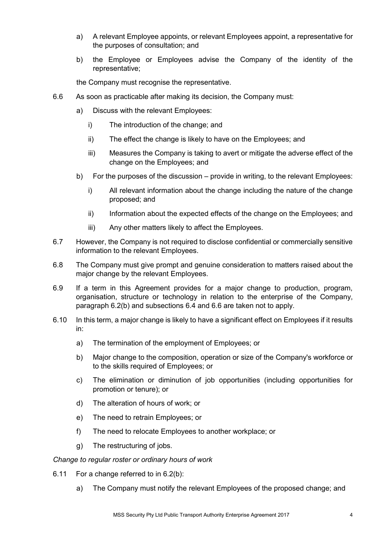- a) A relevant Employee appoints, or relevant Employees appoint, a representative for the purposes of consultation; and
- b) the Employee or Employees advise the Company of the identity of the representative;

the Company must recognise the representative.

- 6.6 As soon as practicable after making its decision, the Company must:
	- a) Discuss with the relevant Employees:
		- i) The introduction of the change; and
		- ii) The effect the change is likely to have on the Employees; and
		- iii) Measures the Company is taking to avert or mitigate the adverse effect of the change on the Employees; and
	- b) For the purposes of the discussion provide in writing, to the relevant Employees:
		- i) All relevant information about the change including the nature of the change proposed; and
		- ii) Information about the expected effects of the change on the Employees; and
		- iii) Any other matters likely to affect the Employees.
- 6.7 However, the Company is not required to disclose confidential or commercially sensitive information to the relevant Employees.
- 6.8 The Company must give prompt and genuine consideration to matters raised about the major change by the relevant Employees.
- 6.9 If a term in this Agreement provides for a major change to production, program, organisation, structure or technology in relation to the enterprise of the Company, paragraph 6.2(b) and subsections 6.4 and 6.6 are taken not to apply.
- 6.10 In this term, a major change is likely to have a significant effect on Employees if it results in:
	- a) The termination of the employment of Employees; or
	- b) Major change to the composition, operation or size of the Company's workforce or to the skills required of Employees; or
	- c) The elimination or diminution of job opportunities (including opportunities for promotion or tenure); or
	- d) The alteration of hours of work; or
	- e) The need to retrain Employees; or
	- f) The need to relocate Employees to another workplace; or
	- g) The restructuring of jobs.

#### *Change to regular roster or ordinary hours of work*

- 6.11 For a change referred to in 6.2(b):
	- a) The Company must notify the relevant Employees of the proposed change; and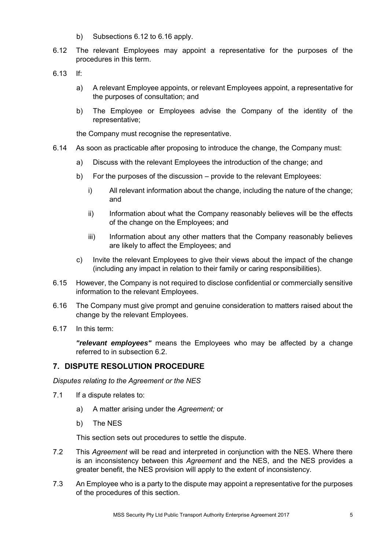- b) Subsections 6.12 to 6.16 apply.
- 6.12 The relevant Employees may appoint a representative for the purposes of the procedures in this term.
- 6.13 If:
	- a) A relevant Employee appoints, or relevant Employees appoint, a representative for the purposes of consultation; and
	- b) The Employee or Employees advise the Company of the identity of the representative;

the Company must recognise the representative.

- 6.14 As soon as practicable after proposing to introduce the change, the Company must:
	- a) Discuss with the relevant Employees the introduction of the change; and
	- b) For the purposes of the discussion provide to the relevant Employees:
		- i) All relevant information about the change, including the nature of the change; and
		- ii) Information about what the Company reasonably believes will be the effects of the change on the Employees; and
		- iii) Information about any other matters that the Company reasonably believes are likely to affect the Employees; and
	- c) Invite the relevant Employees to give their views about the impact of the change (including any impact in relation to their family or caring responsibilities).
- 6.15 However, the Company is not required to disclose confidential or commercially sensitive information to the relevant Employees.
- 6.16 The Company must give prompt and genuine consideration to matters raised about the change by the relevant Employees.
- 6.17 In this term:

*"relevant employees"* means the Employees who may be affected by a change referred to in subsection 6.2.

#### <span id="page-7-0"></span>**7. DISPUTE RESOLUTION PROCEDURE**

*Disputes relating to the Agreement or the NES*

- 7.1 If a dispute relates to:
	- a) A matter arising under the *Agreement;* or
	- b) The NES

This section sets out procedures to settle the dispute.

- 7.2 This *Agreement* will be read and interpreted in conjunction with the NES. Where there is an inconsistency between this *Agreement* and the NES, and the NES provides a greater benefit, the NES provision will apply to the extent of inconsistency.
- 7.3 An Employee who is a party to the dispute may appoint a representative for the purposes of the procedures of this section.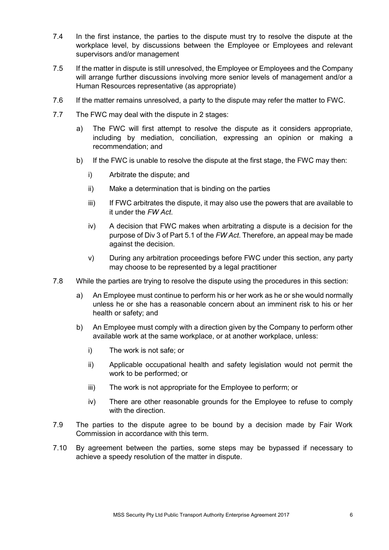- 7.4 In the first instance, the parties to the dispute must try to resolve the dispute at the workplace level, by discussions between the Employee or Employees and relevant supervisors and/or management
- 7.5 If the matter in dispute is still unresolved, the Employee or Employees and the Company will arrange further discussions involving more senior levels of management and/or a Human Resources representative (as appropriate)
- 7.6 If the matter remains unresolved, a party to the dispute may refer the matter to FWC.
- 7.7 The FWC may deal with the dispute in 2 stages:
	- a) The FWC will first attempt to resolve the dispute as it considers appropriate, including by mediation, conciliation, expressing an opinion or making a recommendation; and
	- b) If the FWC is unable to resolve the dispute at the first stage, the FWC may then:
		- i) Arbitrate the dispute; and
		- ii) Make a determination that is binding on the parties
		- iii) If FWC arbitrates the dispute, it may also use the powers that are available to it under the *FW Act*.
		- iv) A decision that FWC makes when arbitrating a dispute is a decision for the purpose of Div 3 of Part 5.1 of the *FW Act*. Therefore, an appeal may be made against the decision.
		- v) During any arbitration proceedings before FWC under this section, any party may choose to be represented by a legal practitioner
- 7.8 While the parties are trying to resolve the dispute using the procedures in this section:
	- a) An Employee must continue to perform his or her work as he or she would normally unless he or she has a reasonable concern about an imminent risk to his or her health or safety; and
	- b) An Employee must comply with a direction given by the Company to perform other available work at the same workplace, or at another workplace, unless:
		- i) The work is not safe; or
		- ii) Applicable occupational health and safety legislation would not permit the work to be performed; or
		- iii) The work is not appropriate for the Employee to perform; or
		- iv) There are other reasonable grounds for the Employee to refuse to comply with the direction.
- 7.9 The parties to the dispute agree to be bound by a decision made by Fair Work Commission in accordance with this term.
- 7.10 By agreement between the parties, some steps may be bypassed if necessary to achieve a speedy resolution of the matter in dispute.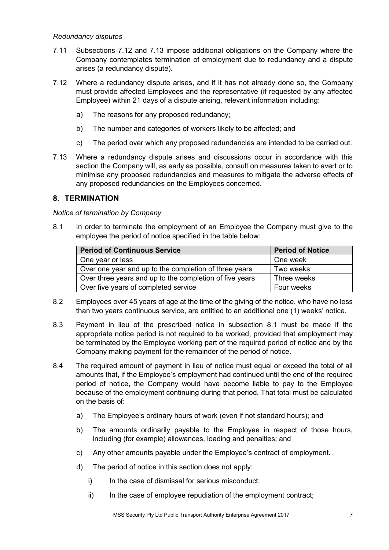#### *Redundancy disputes*

- 7.11 Subsections 7.12 and 7.13 impose additional obligations on the Company where the Company contemplates termination of employment due to redundancy and a dispute arises (a redundancy dispute).
- 7.12 Where a redundancy dispute arises, and if it has not already done so, the Company must provide affected Employees and the representative (if requested by any affected Employee) within 21 days of a dispute arising, relevant information including:
	- a) The reasons for any proposed redundancy;
	- b) The number and categories of workers likely to be affected; and
	- c) The period over which any proposed redundancies are intended to be carried out.
- 7.13 Where a redundancy dispute arises and discussions occur in accordance with this section the Company will, as early as possible, consult on measures taken to avert or to minimise any proposed redundancies and measures to mitigate the adverse effects of any proposed redundancies on the Employees concerned.

#### <span id="page-9-0"></span>**8. TERMINATION**

#### *Notice of termination by Company*

8.1 In order to terminate the employment of an Employee the Company must give to the employee the period of notice specified in the table below:

| <b>Period of Continuous Service</b>                     | <b>Period of Notice</b> |
|---------------------------------------------------------|-------------------------|
| One year or less                                        | One week                |
| Over one year and up to the completion of three years   | Two weeks               |
| Over three years and up to the completion of five years | Three weeks             |
| Over five years of completed service                    | Four weeks              |

- 8.2 Employees over 45 years of age at the time of the giving of the notice, who have no less than two years continuous service, are entitled to an additional one (1) weeks' notice.
- 8.3 Payment in lieu of the prescribed notice in subsection 8.1 must be made if the appropriate notice period is not required to be worked, provided that employment may be terminated by the Employee working part of the required period of notice and by the Company making payment for the remainder of the period of notice.
- 8.4 The required amount of payment in lieu of notice must equal or exceed the total of all amounts that, if the Employee's employment had continued until the end of the required period of notice, the Company would have become liable to pay to the Employee because of the employment continuing during that period. That total must be calculated on the basis of:
	- a) The Employee's ordinary hours of work (even if not standard hours); and
	- b) The amounts ordinarily payable to the Employee in respect of those hours, including (for example) allowances, loading and penalties; and
	- c) Any other amounts payable under the Employee's contract of employment.
	- d) The period of notice in this section does not apply:
		- i) In the case of dismissal for serious misconduct;
		- ii) In the case of employee repudiation of the employment contract;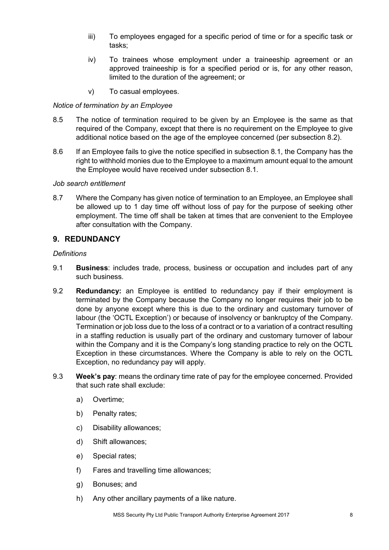- iii) To employees engaged for a specific period of time or for a specific task or tasks;
- iv) To trainees whose employment under a traineeship agreement or an approved traineeship is for a specified period or is, for any other reason, limited to the duration of the agreement; or
- v) To casual employees.

#### *Notice of termination by an Employee*

- 8.5 The notice of termination required to be given by an Employee is the same as that required of the Company, except that there is no requirement on the Employee to give additional notice based on the age of the employee concerned (per subsection 8.2).
- 8.6 If an Employee fails to give the notice specified in subsection 8.1, the Company has the right to withhold monies due to the Employee to a maximum amount equal to the amount the Employee would have received under subsection 8.1.

#### *Job search entitlement*

8.7 Where the Company has given notice of termination to an Employee, an Employee shall be allowed up to 1 day time off without loss of pay for the purpose of seeking other employment. The time off shall be taken at times that are convenient to the Employee after consultation with the Company.

#### <span id="page-10-0"></span>**9. REDUNDANCY**

#### *Definitions*

- 9.1 **Business**: includes trade, process, business or occupation and includes part of any such business.
- 9.2 **Redundancy:** an Employee is entitled to redundancy pay if their employment is terminated by the Company because the Company no longer requires their job to be done by anyone except where this is due to the ordinary and customary turnover of labour (the 'OCTL Exception') or because of insolvency or bankruptcy of the Company. Termination or job loss due to the loss of a contract or to a variation of a contract resulting in a staffing reduction is usually part of the ordinary and customary turnover of labour within the Company and it is the Company's long standing practice to rely on the OCTL Exception in these circumstances. Where the Company is able to rely on the OCTL Exception, no redundancy pay will apply.
- 9.3 **Week's pay**: means the ordinary time rate of pay for the employee concerned. Provided that such rate shall exclude:
	- a) Overtime;
	- b) Penalty rates;
	- c) Disability allowances;
	- d) Shift allowances;
	- e) Special rates;
	- f) Fares and travelling time allowances;
	- g) Bonuses; and
	- h) Any other ancillary payments of a like nature.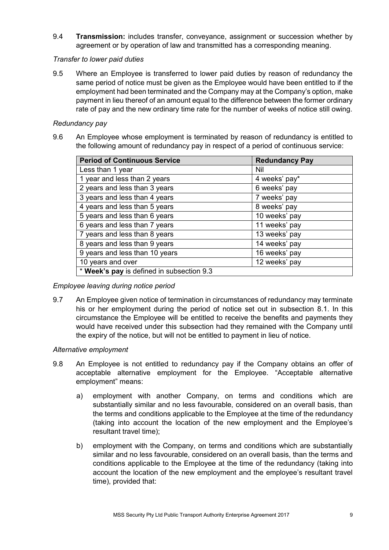9.4 **Transmission:** includes transfer, conveyance, assignment or succession whether by agreement or by operation of law and transmitted has a corresponding meaning.

#### *Transfer to lower paid duties*

9.5 Where an Employee is transferred to lower paid duties by reason of redundancy the same period of notice must be given as the Employee would have been entitled to if the employment had been terminated and the Company may at the Company's option, make payment in lieu thereof of an amount equal to the difference between the former ordinary rate of pay and the new ordinary time rate for the number of weeks of notice still owing.

#### *Redundancy pay*

9.6 An Employee whose employment is terminated by reason of redundancy is entitled to the following amount of redundancy pay in respect of a period of continuous service:

| <b>Period of Continuous Service</b>       | <b>Redundancy Pay</b> |  |  |
|-------------------------------------------|-----------------------|--|--|
| Less than 1 year                          | Nil                   |  |  |
| 1 year and less than 2 years              | 4 weeks' pay*         |  |  |
| 2 years and less than 3 years             | 6 weeks' pay          |  |  |
| 3 years and less than 4 years             | 7 weeks' pay          |  |  |
| 4 years and less than 5 years             | 8 weeks' pay          |  |  |
| 5 years and less than 6 years             | 10 weeks' pay         |  |  |
| 6 years and less than 7 years             | 11 weeks' pay         |  |  |
| 7 years and less than 8 years             | 13 weeks' pay         |  |  |
| 8 years and less than 9 years             | 14 weeks' pay         |  |  |
| 9 years and less than 10 years            | 16 weeks' pay         |  |  |
| 10 years and over                         | 12 weeks' pay         |  |  |
| * Week's pay is defined in subsection 9.3 |                       |  |  |

#### *Employee leaving during notice period*

9.7 An Employee given notice of termination in circumstances of redundancy may terminate his or her employment during the period of notice set out in subsection 8.1. In this circumstance the Employee will be entitled to receive the benefits and payments they would have received under this subsection had they remained with the Company until the expiry of the notice, but will not be entitled to payment in lieu of notice.

#### *Alternative employment*

- 9.8 An Employee is not entitled to redundancy pay if the Company obtains an offer of acceptable alternative employment for the Employee. "Acceptable alternative employment" means:
	- a) employment with another Company, on terms and conditions which are substantially similar and no less favourable, considered on an overall basis, than the terms and conditions applicable to the Employee at the time of the redundancy (taking into account the location of the new employment and the Employee's resultant travel time);
	- b) employment with the Company, on terms and conditions which are substantially similar and no less favourable, considered on an overall basis, than the terms and conditions applicable to the Employee at the time of the redundancy (taking into account the location of the new employment and the employee's resultant travel time), provided that: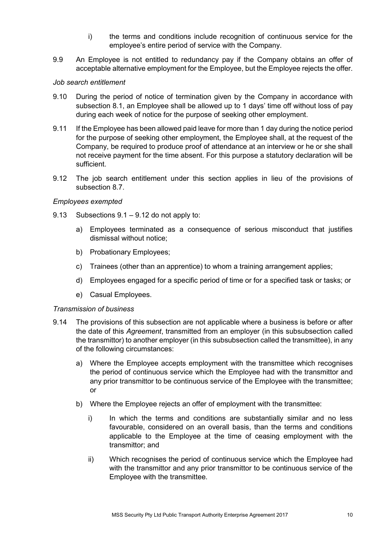- i) the terms and conditions include recognition of continuous service for the employee's entire period of service with the Company.
- 9.9 An Employee is not entitled to redundancy pay if the Company obtains an offer of acceptable alternative employment for the Employee, but the Employee rejects the offer.

#### *Job search entitlement*

- 9.10 During the period of notice of termination given by the Company in accordance with subsection 8.1, an Employee shall be allowed up to 1 days' time off without loss of pay during each week of notice for the purpose of seeking other employment.
- 9.11 If the Employee has been allowed paid leave for more than 1 day during the notice period for the purpose of seeking other employment, the Employee shall, at the request of the Company, be required to produce proof of attendance at an interview or he or she shall not receive payment for the time absent. For this purpose a statutory declaration will be sufficient.
- 9.12 The job search entitlement under this section applies in lieu of the provisions of subsection 8.7.

#### *Employees exempted*

- 9.13 Subsections 9.1 9.12 do not apply to:
	- a) Employees terminated as a consequence of serious misconduct that justifies dismissal without notice;
	- b) Probationary Employees;
	- c) Trainees (other than an apprentice) to whom a training arrangement applies;
	- d) Employees engaged for a specific period of time or for a specified task or tasks; or
	- e) Casual Employees.

#### *Transmission of business*

- 9.14 The provisions of this subsection are not applicable where a business is before or after the date of this *Agreement*, transmitted from an employer (in this subsubsection called the transmittor) to another employer (in this subsubsection called the transmittee), in any of the following circumstances:
	- a) Where the Employee accepts employment with the transmittee which recognises the period of continuous service which the Employee had with the transmittor and any prior transmittor to be continuous service of the Employee with the transmittee; or
	- b) Where the Employee rejects an offer of employment with the transmittee:
		- i) In which the terms and conditions are substantially similar and no less favourable, considered on an overall basis, than the terms and conditions applicable to the Employee at the time of ceasing employment with the transmittor; and
		- ii) Which recognises the period of continuous service which the Employee had with the transmittor and any prior transmittor to be continuous service of the Employee with the transmittee.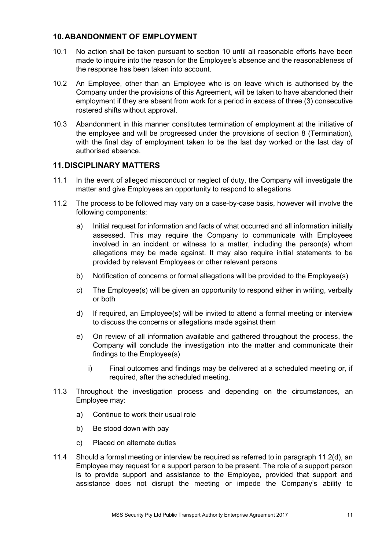#### <span id="page-13-0"></span>**10.ABANDONMENT OF EMPLOYMENT**

- 10.1 No action shall be taken pursuant to section 10 until all reasonable efforts have been made to inquire into the reason for the Employee's absence and the reasonableness of the response has been taken into account.
- 10.2 An Employee, other than an Employee who is on leave which is authorised by the Company under the provisions of this Agreement, will be taken to have abandoned their employment if they are absent from work for a period in excess of three (3) consecutive rostered shifts without approval.
- 10.3 Abandonment in this manner constitutes termination of employment at the initiative of the employee and will be progressed under the provisions of section 8 (Termination), with the final day of employment taken to be the last day worked or the last day of authorised absence.

#### <span id="page-13-1"></span>**11.DISCIPLINARY MATTERS**

- 11.1 In the event of alleged misconduct or neglect of duty, the Company will investigate the matter and give Employees an opportunity to respond to allegations
- 11.2 The process to be followed may vary on a case-by-case basis, however will involve the following components:
	- a) Initial request for information and facts of what occurred and all information initially assessed. This may require the Company to communicate with Employees involved in an incident or witness to a matter, including the person(s) whom allegations may be made against. It may also require initial statements to be provided by relevant Employees or other relevant persons
	- b) Notification of concerns or formal allegations will be provided to the Employee(s)
	- c) The Employee(s) will be given an opportunity to respond either in writing, verbally or both
	- d) If required, an Employee(s) will be invited to attend a formal meeting or interview to discuss the concerns or allegations made against them
	- e) On review of all information available and gathered throughout the process, the Company will conclude the investigation into the matter and communicate their findings to the Employee(s)
		- i) Final outcomes and findings may be delivered at a scheduled meeting or, if required, after the scheduled meeting.
- 11.3 Throughout the investigation process and depending on the circumstances, an Employee may:
	- a) Continue to work their usual role
	- b) Be stood down with pay
	- c) Placed on alternate duties
- 11.4 Should a formal meeting or interview be required as referred to in paragraph 11.2(d), an Employee may request for a support person to be present. The role of a support person is to provide support and assistance to the Employee, provided that support and assistance does not disrupt the meeting or impede the Company's ability to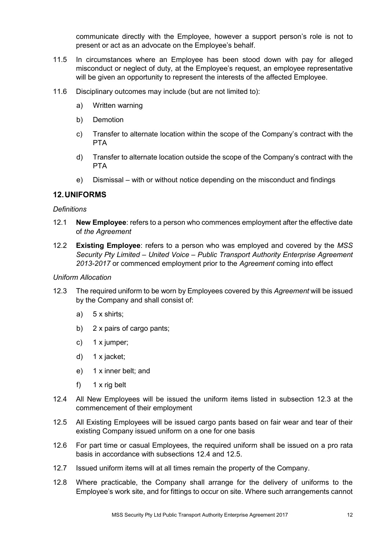communicate directly with the Employee, however a support person's role is not to present or act as an advocate on the Employee's behalf.

- 11.5 In circumstances where an Employee has been stood down with pay for alleged misconduct or neglect of duty, at the Employee's request, an employee representative will be given an opportunity to represent the interests of the affected Employee.
- 11.6 Disciplinary outcomes may include (but are not limited to):
	- a) Written warning
	- b) Demotion
	- c) Transfer to alternate location within the scope of the Company's contract with the PTA
	- d) Transfer to alternate location outside the scope of the Company's contract with the PTA
	- e) Dismissal with or without notice depending on the misconduct and findings

#### <span id="page-14-0"></span>**12.UNIFORMS**

#### *Definitions*

- 12.1 **New Employee**: refers to a person who commences employment after the effective date of *the Agreement*
- 12.2 **Existing Employee**: refers to a person who was employed and covered by the *MSS Security Pty Limited – United Voice – Public Transport Authority Enterprise Agreement 2013-2017* or commenced employment prior to the *Agreement* coming into effect

#### *Uniform Allocation*

- 12.3 The required uniform to be worn by Employees covered by this *Agreement* will be issued by the Company and shall consist of:
	- a) 5 x shirts;
	- b) 2 x pairs of cargo pants;
	- c) 1 x jumper;
	- d) 1 x jacket;
	- e) 1 x inner belt; and
	- f) 1 x rig belt
- 12.4 All New Employees will be issued the uniform items listed in subsection 12.3 at the commencement of their employment
- 12.5 All Existing Employees will be issued cargo pants based on fair wear and tear of their existing Company issued uniform on a one for one basis
- 12.6 For part time or casual Employees, the required uniform shall be issued on a pro rata basis in accordance with subsections 12.4 and 12.5.
- 12.7 Issued uniform items will at all times remain the property of the Company.
- 12.8 Where practicable, the Company shall arrange for the delivery of uniforms to the Employee's work site, and for fittings to occur on site. Where such arrangements cannot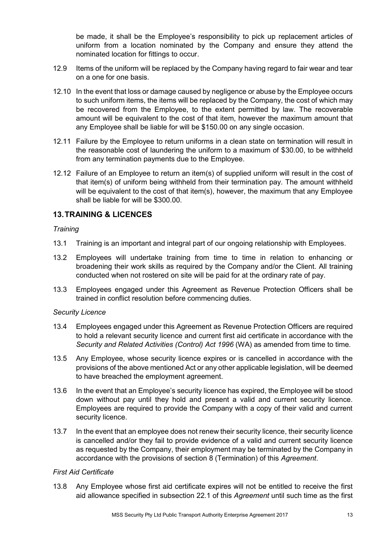be made, it shall be the Employee's responsibility to pick up replacement articles of uniform from a location nominated by the Company and ensure they attend the nominated location for fittings to occur.

- 12.9 Items of the uniform will be replaced by the Company having regard to fair wear and tear on a one for one basis.
- 12.10 In the event that loss or damage caused by negligence or abuse by the Employee occurs to such uniform items, the items will be replaced by the Company, the cost of which may be recovered from the Employee, to the extent permitted by law. The recoverable amount will be equivalent to the cost of that item, however the maximum amount that any Employee shall be liable for will be \$150.00 on any single occasion.
- 12.11 Failure by the Employee to return uniforms in a clean state on termination will result in the reasonable cost of laundering the uniform to a maximum of \$30.00, to be withheld from any termination payments due to the Employee.
- 12.12 Failure of an Employee to return an item(s) of supplied uniform will result in the cost of that item(s) of uniform being withheld from their termination pay. The amount withheld will be equivalent to the cost of that item(s), however, the maximum that any Employee shall be liable for will be \$300.00.

#### <span id="page-15-0"></span>**13.TRAINING & LICENCES**

#### *Training*

- 13.1 Training is an important and integral part of our ongoing relationship with Employees.
- 13.2 Employees will undertake training from time to time in relation to enhancing or broadening their work skills as required by the Company and/or the Client. All training conducted when not rostered on site will be paid for at the ordinary rate of pay.
- 13.3 Employees engaged under this Agreement as Revenue Protection Officers shall be trained in conflict resolution before commencing duties.

#### *Security Licence*

- 13.4 Employees engaged under this Agreement as Revenue Protection Officers are required to hold a relevant security licence and current first aid certificate in accordance with the *Security and Related Activities (Control) Act 1996* (WA) as amended from time to time*.*
- 13.5 Any Employee, whose security licence expires or is cancelled in accordance with the provisions of the above mentioned Act or any other applicable legislation, will be deemed to have breached the employment agreement.
- 13.6 In the event that an Employee's security licence has expired, the Employee will be stood down without pay until they hold and present a valid and current security licence. Employees are required to provide the Company with a copy of their valid and current security licence.
- 13.7 In the event that an employee does not renew their security licence, their security licence is cancelled and/or they fail to provide evidence of a valid and current security licence as requested by the Company, their employment may be terminated by the Company in accordance with the provisions of section 8 (Termination) of this *Agreement*.

#### *First Aid Certificate*

13.8 Any Employee whose first aid certificate expires will not be entitled to receive the first aid allowance specified in subsection 22.1 of this *Agreement* until such time as the first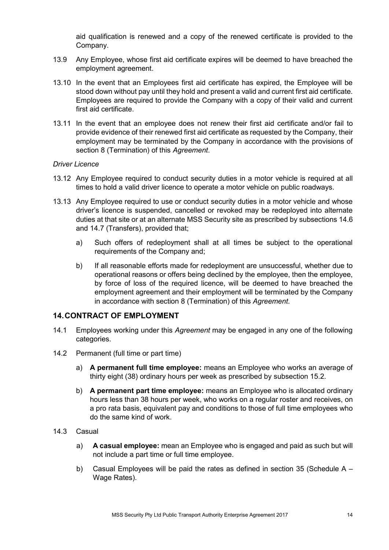aid qualification is renewed and a copy of the renewed certificate is provided to the Company.

- 13.9 Any Employee, whose first aid certificate expires will be deemed to have breached the employment agreement.
- 13.10 In the event that an Employees first aid certificate has expired, the Employee will be stood down without pay until they hold and present a valid and current first aid certificate. Employees are required to provide the Company with a copy of their valid and current first aid certificate.
- 13.11 In the event that an employee does not renew their first aid certificate and/or fail to provide evidence of their renewed first aid certificate as requested by the Company, their employment may be terminated by the Company in accordance with the provisions of section 8 (Termination) of this *Agreement*.

#### *Driver Licence*

- 13.12 Any Employee required to conduct security duties in a motor vehicle is required at all times to hold a valid driver licence to operate a motor vehicle on public roadways.
- 13.13 Any Employee required to use or conduct security duties in a motor vehicle and whose driver's licence is suspended, cancelled or revoked may be redeployed into alternate duties at that site or at an alternate MSS Security site as prescribed by subsections 14.6 and 14.7 (Transfers), provided that;
	- a) Such offers of redeployment shall at all times be subject to the operational requirements of the Company and;
	- b) If all reasonable efforts made for redeployment are unsuccessful, whether due to operational reasons or offers being declined by the employee, then the employee, by force of loss of the required licence, will be deemed to have breached the employment agreement and their employment will be terminated by the Company in accordance with section 8 (Termination) of this *Agreement*.

#### <span id="page-16-0"></span>**14.CONTRACT OF EMPLOYMENT**

- 14.1 Employees working under this *Agreement* may be engaged in any one of the following categories.
- 14.2 Permanent (full time or part time)
	- a) **A permanent full time employee:** means an Employee who works an average of thirty eight (38) ordinary hours per week as prescribed by subsection 15.2.
	- b) **A permanent part time employee:** means an Employee who is allocated ordinary hours less than 38 hours per week, who works on a regular roster and receives, on a pro rata basis, equivalent pay and conditions to those of full time employees who do the same kind of work.
- 14.3 Casual
	- a) **A casual employee:** mean an Employee who is engaged and paid as such but will not include a part time or full time employee.
	- b) Casual Employees will be paid the rates as defined in section 35 (Schedule  $A -$ Wage Rates).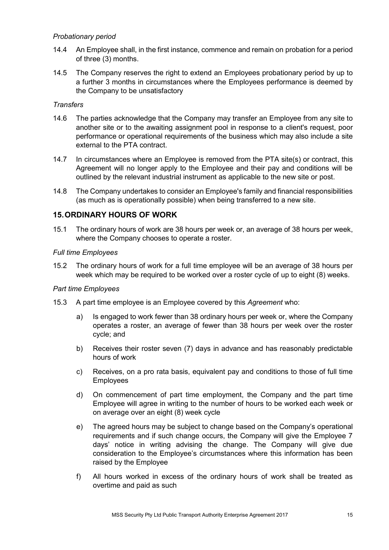#### *Probationary period*

- 14.4 An Employee shall, in the first instance, commence and remain on probation for a period of three (3) months.
- 14.5 The Company reserves the right to extend an Employees probationary period by up to a further 3 months in circumstances where the Employees performance is deemed by the Company to be unsatisfactory

#### *Transfers*

- 14.6 The parties acknowledge that the Company may transfer an Employee from any site to another site or to the awaiting assignment pool in response to a client's request, poor performance or operational requirements of the business which may also include a site external to the PTA contract.
- 14.7 In circumstances where an Employee is removed from the PTA site(s) or contract, this Agreement will no longer apply to the Employee and their pay and conditions will be outlined by the relevant industrial instrument as applicable to the new site or post.
- 14.8 The Company undertakes to consider an Employee's family and financial responsibilities (as much as is operationally possible) when being transferred to a new site.

#### <span id="page-17-0"></span>**15.ORDINARY HOURS OF WORK**

15.1 The ordinary hours of work are 38 hours per week or, an average of 38 hours per week, where the Company chooses to operate a roster.

#### *Full time Employees*

15.2 The ordinary hours of work for a full time employee will be an average of 38 hours per week which may be required to be worked over a roster cycle of up to eight (8) weeks.

#### *Part time Employees*

- 15.3 A part time employee is an Employee covered by this *Agreement* who:
	- a) Is engaged to work fewer than 38 ordinary hours per week or, where the Company operates a roster, an average of fewer than 38 hours per week over the roster cycle; and
	- b) Receives their roster seven (7) days in advance and has reasonably predictable hours of work
	- c) Receives, on a pro rata basis, equivalent pay and conditions to those of full time Employees
	- d) On commencement of part time employment, the Company and the part time Employee will agree in writing to the number of hours to be worked each week or on average over an eight (8) week cycle
	- e) The agreed hours may be subject to change based on the Company's operational requirements and if such change occurs, the Company will give the Employee 7 days' notice in writing advising the change. The Company will give due consideration to the Employee's circumstances where this information has been raised by the Employee
	- f) All hours worked in excess of the ordinary hours of work shall be treated as overtime and paid as such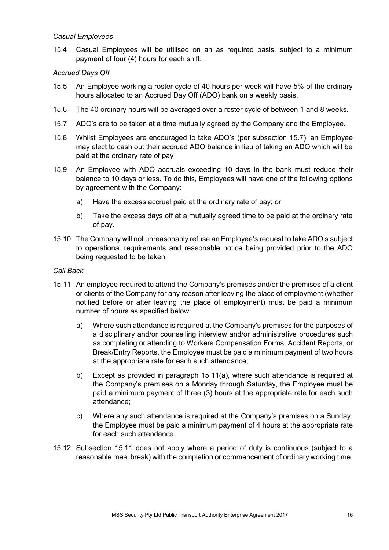#### *Casual Employees*

15.4 Casual Employees will be utilised on an as required basis, subject to a minimum payment of four (4) hours for each shift.

#### *Accrued Days Off*

- 15.5 An Employee working a roster cycle of 40 hours per week will have 5% of the ordinary hours allocated to an Accrued Day Off (ADO) bank on a weekly basis.
- 15.6 The 40 ordinary hours will be averaged over a roster cycle of between 1 and 8 weeks.
- 15.7 ADO's are to be taken at a time mutually agreed by the Company and the Employee.
- 15.8 Whilst Employees are encouraged to take ADO's (per subsection 15.7), an Employee may elect to cash out their accrued ADO balance in lieu of taking an ADO which will be paid at the ordinary rate of pay
- 15.9 An Employee with ADO accruals exceeding 10 days in the bank must reduce their balance to 10 days or less. To do this, Employees will have one of the following options by agreement with the Company:
	- a) Have the excess accrual paid at the ordinary rate of pay; or
	- b) Take the excess days off at a mutually agreed time to be paid at the ordinary rate of pay.
- 15.10 The Company will not unreasonably refuse an Employee's request to take ADO's subject to operational requirements and reasonable notice being provided prior to the ADO being requested to be taken

#### *Call Back*

- 15.11 An employee required to attend the Company's premises and/or the premises of a client or clients of the Company for any reason after leaving the place of employment (whether notified before or after leaving the place of employment) must be paid a minimum number of hours as specified below:
	- a) Where such attendance is required at the Company's premises for the purposes of a disciplinary and/or counselling interview and/or administrative procedures such as completing or attending to Workers Compensation Forms, Accident Reports, or Break/Entry Reports, the Employee must be paid a minimum payment of two hours at the appropriate rate for each such attendance;
	- b) Except as provided in paragraph 15.11(a), where such attendance is required at the Company's premises on a Monday through Saturday, the Employee must be paid a minimum payment of three (3) hours at the appropriate rate for each such attendance;
	- c) Where any such attendance is required at the Company's premises on a Sunday, the Employee must be paid a minimum payment of 4 hours at the appropriate rate for each such attendance.
- 15.12 Subsection 15.11 does not apply where a period of duty is continuous (subject to a reasonable meal break) with the completion or commencement of ordinary working time.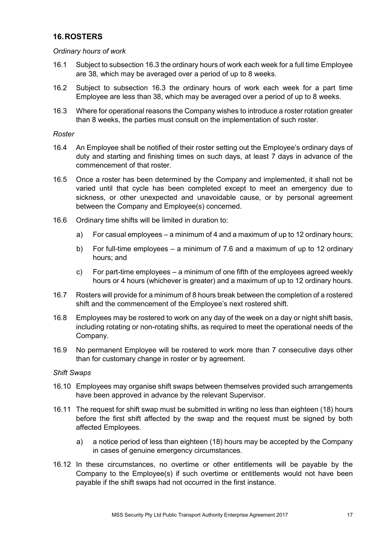#### <span id="page-19-0"></span>**16.ROSTERS**

*Ordinary hours of work* 

- 16.1 Subject to subsection 16.3 the ordinary hours of work each week for a full time Employee are 38, which may be averaged over a period of up to 8 weeks.
- 16.2 Subject to subsection 16.3 the ordinary hours of work each week for a part time Employee are less than 38, which may be averaged over a period of up to 8 weeks.
- 16.3 Where for operational reasons the Company wishes to introduce a roster rotation greater than 8 weeks, the parties must consult on the implementation of such roster.

#### *Roster*

- 16.4 An Employee shall be notified of their roster setting out the Employee's ordinary days of duty and starting and finishing times on such days, at least 7 days in advance of the commencement of that roster.
- 16.5 Once a roster has been determined by the Company and implemented, it shall not be varied until that cycle has been completed except to meet an emergency due to sickness, or other unexpected and unavoidable cause, or by personal agreement between the Company and Employee(s) concerned.
- 16.6 Ordinary time shifts will be limited in duration to:
	- a) For casual employees a minimum of 4 and a maximum of up to 12 ordinary hours;
	- b) For full-time employees a minimum of 7.6 and a maximum of up to 12 ordinary hours; and
	- c) For part-time employees a minimum of one fifth of the employees agreed weekly hours or 4 hours (whichever is greater) and a maximum of up to 12 ordinary hours.
- 16.7 Rosters will provide for a minimum of 8 hours break between the completion of a rostered shift and the commencement of the Employee's next rostered shift.
- 16.8 Employees may be rostered to work on any day of the week on a day or night shift basis, including rotating or non-rotating shifts, as required to meet the operational needs of the Company.
- 16.9 No permanent Employee will be rostered to work more than 7 consecutive days other than for customary change in roster or by agreement.

#### *Shift Swaps*

- 16.10 Employees may organise shift swaps between themselves provided such arrangements have been approved in advance by the relevant Supervisor.
- 16.11 The request for shift swap must be submitted in writing no less than eighteen (18) hours before the first shift affected by the swap and the request must be signed by both affected Employees.
	- a) a notice period of less than eighteen (18) hours may be accepted by the Company in cases of genuine emergency circumstances.
- 16.12 In these circumstances, no overtime or other entitlements will be payable by the Company to the Employee(s) if such overtime or entitlements would not have been payable if the shift swaps had not occurred in the first instance.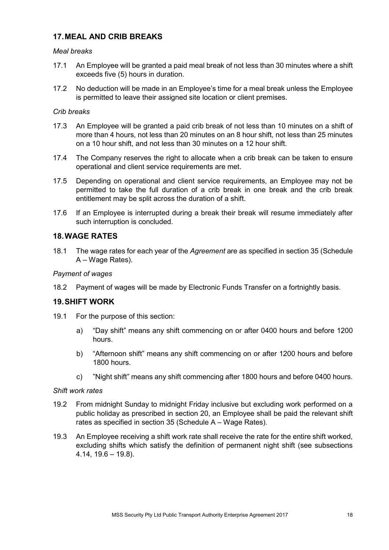#### <span id="page-20-0"></span>**17.MEAL AND CRIB BREAKS**

#### *Meal breaks*

- 17.1 An Employee will be granted a paid meal break of not less than 30 minutes where a shift exceeds five (5) hours in duration.
- 17.2 No deduction will be made in an Employee's time for a meal break unless the Employee is permitted to leave their assigned site location or client premises.

#### *Crib breaks*

- 17.3 An Employee will be granted a paid crib break of not less than 10 minutes on a shift of more than 4 hours, not less than 20 minutes on an 8 hour shift, not less than 25 minutes on a 10 hour shift, and not less than 30 minutes on a 12 hour shift.
- 17.4 The Company reserves the right to allocate when a crib break can be taken to ensure operational and client service requirements are met.
- 17.5 Depending on operational and client service requirements, an Employee may not be permitted to take the full duration of a crib break in one break and the crib break entitlement may be split across the duration of a shift.
- 17.6 If an Employee is interrupted during a break their break will resume immediately after such interruption is concluded.

#### <span id="page-20-1"></span>**18.WAGE RATES**

18.1 The wage rates for each year of the *Agreement* are as specified in section 35 (Schedule A – Wage Rates).

#### *Payment of wages*

18.2 Payment of wages will be made by Electronic Funds Transfer on a fortnightly basis.

#### <span id="page-20-2"></span>**19.SHIFT WORK**

- 19.1 For the purpose of this section:
	- a) "Day shift" means any shift commencing on or after 0400 hours and before 1200 hours.
	- b) "Afternoon shift" means any shift commencing on or after 1200 hours and before 1800 hours.
	- c) "Night shift" means any shift commencing after 1800 hours and before 0400 hours.

#### *Shift work rates*

- 19.2 From midnight Sunday to midnight Friday inclusive but excluding work performed on a public holiday as prescribed in section 20, an Employee shall be paid the relevant shift rates as specified in section 35 (Schedule A – Wage Rates).
- 19.3 An Employee receiving a shift work rate shall receive the rate for the entire shift worked, excluding shifts which satisfy the definition of permanent night shift (see subsections 4.14, 19.6 – 19.8).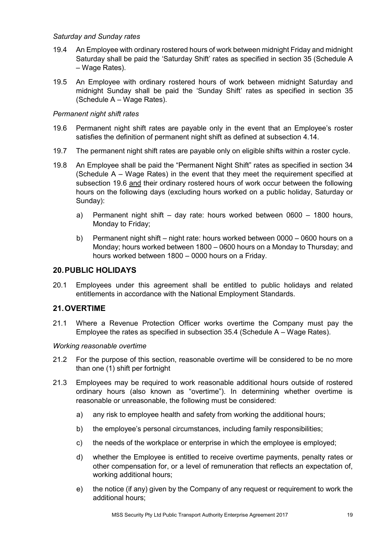#### *Saturday and Sunday rates*

- 19.4 An Employee with ordinary rostered hours of work between midnight Friday and midnight Saturday shall be paid the 'Saturday Shift' rates as specified in section 35 (Schedule A – Wage Rates).
- 19.5 An Employee with ordinary rostered hours of work between midnight Saturday and midnight Sunday shall be paid the 'Sunday Shift' rates as specified in section 35 (Schedule A – Wage Rates).

#### *Permanent night shift rates*

- 19.6 Permanent night shift rates are payable only in the event that an Employee's roster satisfies the definition of permanent night shift as defined at subsection 4.14.
- 19.7 The permanent night shift rates are payable only on eligible shifts within a roster cycle.
- 19.8 An Employee shall be paid the "Permanent Night Shift" rates as specified in section 34 (Schedule A – Wage Rates) in the event that they meet the requirement specified at subsection 19.6 and their ordinary rostered hours of work occur between the following hours on the following days (excluding hours worked on a public holiday, Saturday or Sunday):
	- a) Permanent night shift day rate: hours worked between 0600 1800 hours, Monday to Friday;
	- b) Permanent night shift night rate: hours worked between 0000 0600 hours on a Monday; hours worked between 1800 – 0600 hours on a Monday to Thursday; and hours worked between 1800 – 0000 hours on a Friday.

#### <span id="page-21-0"></span>**20.PUBLIC HOLIDAYS**

20.1 Employees under this agreement shall be entitled to public holidays and related entitlements in accordance with the National Employment Standards.

#### <span id="page-21-1"></span>**21.OVERTIME**

21.1 Where a Revenue Protection Officer works overtime the Company must pay the Employee the rates as specified in subsection 35.4 (Schedule A – Wage Rates).

#### *Working reasonable overtime*

- 21.2 For the purpose of this section, reasonable overtime will be considered to be no more than one (1) shift per fortnight
- 21.3 Employees may be required to work reasonable additional hours outside of rostered ordinary hours (also known as "overtime"). In determining whether overtime is reasonable or unreasonable, the following must be considered:
	- a) any risk to employee health and safety from working the additional hours;
	- b) the employee's personal circumstances, including family responsibilities;
	- c) the needs of the workplace or enterprise in which the employee is employed;
	- d) whether the Employee is entitled to receive overtime payments, penalty rates or other compensation for, or a level of remuneration that reflects an expectation of, working additional hours;
	- e) the notice (if any) given by the Company of any request or requirement to work the additional hours;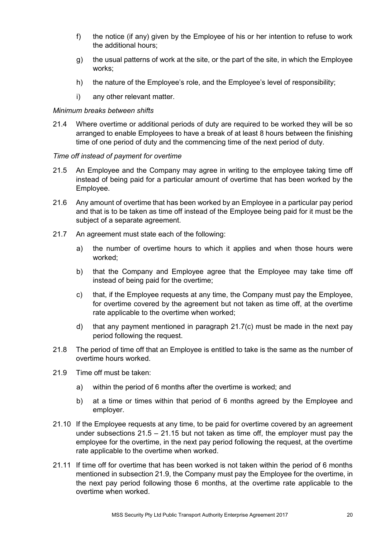- f) the notice (if any) given by the Employee of his or her intention to refuse to work the additional hours;
- g) the usual patterns of work at the site, or the part of the site, in which the Employee works;
- h) the nature of the Employee's role, and the Employee's level of responsibility;
- i) any other relevant matter.

#### *Minimum breaks between shifts*

21.4 Where overtime or additional periods of duty are required to be worked they will be so arranged to enable Employees to have a break of at least 8 hours between the finishing time of one period of duty and the commencing time of the next period of duty.

#### *Time off instead of payment for overtime*

- 21.5 An Employee and the Company may agree in writing to the employee taking time off instead of being paid for a particular amount of overtime that has been worked by the Employee.
- <span id="page-22-0"></span>21.6 Any amount of overtime that has been worked by an Employee in a particular pay period and that is to be taken as time off instead of the Employee being paid for it must be the subject of a separate agreement.
- 21.7 An agreement must state each of the following:
	- a) the number of overtime hours to which it applies and when those hours were worked;
	- b) that the Company and Employee agree that the Employee may take time off instead of being paid for the overtime;
	- c) that, if the Employee requests at any time, the Company must pay the Employee, for overtime covered by the agreement but not taken as time off, at the overtime rate applicable to the overtime when worked;
	- d) that any payment mentioned in paragraph 21.7(c) must be made in the next pay period following the request.
- 21.8 The period of time off that an Employee is entitled to take is the same as the number of overtime hours worked.
- 21.9 Time off must be taken:
	- a) within the period of 6 months after the overtime is worked; and
	- b) at a time or times within that period of 6 months agreed by the Employee and employer.
- 21.10 If the Employee requests at any time, to be paid for overtime covered by an agreement under subsections  $21.5 - 21.15$  but not taken as time off, the employer must pay the employee for the overtime, in the next pay period following the request, at the overtime rate applicable to the overtime when worked.
- 21.11 If time off for overtime that has been worked is not taken within the period of 6 months mentioned in subsection 21.9, the Company must pay the Employee for the overtime, in the next pay period following those 6 months, at the overtime rate applicable to the overtime when worked.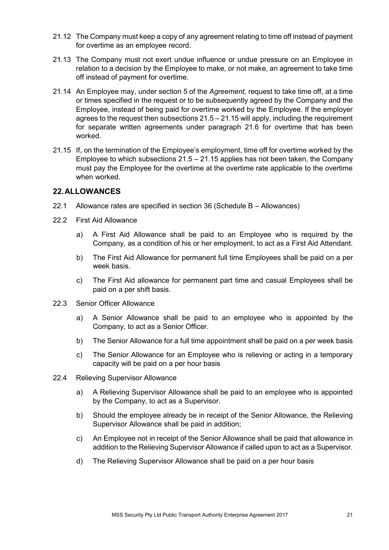- 21.12 The Company must keep a copy of any agreement relating to time off instead of payment for overtime as an employee record.
- 21.13 The Company must not exert undue influence or undue pressure on an Employee in relation to a decision by the Employee to make, or not make, an agreement to take time off instead of payment for overtime.
- 21.14 An Employee may, under section 5 of the *Agreement,* request to take time off, at a time or times specified in the request or to be subsequently agreed by the Company and the Employee, instead of being paid for overtime worked by the Employee. If the employer agrees to the request then subsections 21.5 – 21.15 will apply, including the requirement for separate written agreements under paragraph [21.6](#page-22-0) for overtime that has been worked.
- 21.15 If, on the termination of the Employee's employment, time off for overtime worked by the Employee to which subsections  $21.5 - 21.15$  applies has not been taken, the Company must pay the Employee for the overtime at the overtime rate applicable to the overtime when worked.

#### <span id="page-23-0"></span>**22.ALLOWANCES**

- 22.1 Allowance rates are specified in section 36 (Schedule B Allowances)
- 22.2 First Aid Allowance
	- a) A First Aid Allowance shall be paid to an Employee who is required by the Company, as a condition of his or her employment, to act as a First Aid Attendant.
	- b) The First Aid Allowance for permanent full time Employees shall be paid on a per week basis.
	- c) The First Aid allowance for permanent part time and casual Employees shall be paid on a per shift basis.
- 22.3 Senior Officer Allowance
	- a) A Senior Allowance shall be paid to an employee who is appointed by the Company, to act as a Senior Officer.
	- b) The Senior Allowance for a full time appointment shall be paid on a per week basis
	- c) The Senior Allowance for an Employee who is relieving or acting in a temporary capacity will be paid on a per hour basis
- 22.4 Relieving Supervisor Allowance
	- a) A Relieving Supervisor Allowance shall be paid to an employee who is appointed by the Company, to act as a Supervisor.
	- b) Should the employee already be in receipt of the Senior Allowance, the Relieving Supervisor Allowance shall be paid in addition;
	- c) An Employee not in receipt of the Senior Allowance shall be paid that allowance in addition to the Relieving Supervisor Allowance if called upon to act as a Supervisor.
	- d) The Relieving Supervisor Allowance shall be paid on a per hour basis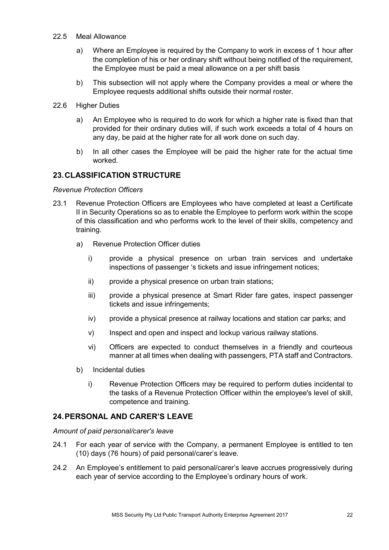- 22.5 Meal Allowance
	- a) Where an Employee is required by the Company to work in excess of 1 hour after the completion of his or her ordinary shift without being notified of the requirement, the Employee must be paid a meal allowance on a per shift basis
	- b) This subsection will not apply where the Company provides a meal or where the Employee requests additional shifts outside their normal roster.
- 22.6 Higher Duties
	- a) An Employee who is required to do work for which a higher rate is fixed than that provided for their ordinary duties will, if such work exceeds a total of 4 hours on any day, be paid at the higher rate for all work done on such day.
	- b) In all other cases the Employee will be paid the higher rate for the actual time worked.

#### <span id="page-24-0"></span>**23.CLASSIFICATION STRUCTURE**

#### *Revenue Protection Officers*

- 23.1 Revenue Protection Officers are Employees who have completed at least a Certificate II in Security Operations so as to enable the Employee to perform work within the scope of this classification and who performs work to the level of their skills, competency and training.
	- a) Revenue Protection Officer duties
		- i) provide a physical presence on urban train services and undertake inspections of passenger 's tickets and issue infringement notices;
		- ii) provide a physical presence on urban train stations;
		- iii) provide a physical presence at Smart Rider fare gates, inspect passenger tickets and issue infringements;
		- iv) provide a physical presence at railway locations and station car parks; and
		- v) Inspect and open and inspect and lockup various railway stations.
		- vi) Officers are expected to conduct themselves in a friendly and courteous manner at all times when dealing with passengers, PTA staff and Contractors.
	- b) Incidental duties
		- i) Revenue Protection Officers may be required to perform duties incidental to the tasks of a Revenue Protection Officer within the employee's level of skill, competence and training.

#### <span id="page-24-1"></span>**24.PERSONAL AND CARER'S LEAVE**

*Amount of paid personal/carer's leave*

- 24.1 For each year of service with the Company, a permanent Employee is entitled to ten (10) days (76 hours) of paid personal/carer's leave.
- 24.2 An Employee's entitlement to paid personal/carer's leave accrues progressively during each year of service according to the Employee's ordinary hours of work.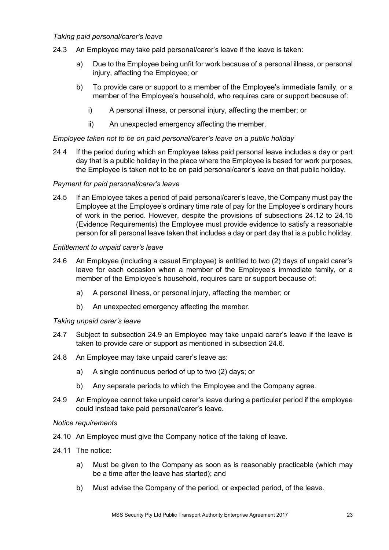#### *Taking paid personal/carer's leave*

- 24.3 An Employee may take paid personal/carer's leave if the leave is taken:
	- a) Due to the Employee being unfit for work because of a personal illness, or personal injury, affecting the Employee; or
	- b) To provide care or support to a member of the Employee's immediate family, or a member of the Employee's household, who requires care or support because of:
		- i) A personal illness, or personal injury, affecting the member; or
		- ii) An unexpected emergency affecting the member.

#### *Employee taken not to be on paid personal/carer's leave on a public holiday*

24.4 If the period during which an Employee takes paid personal leave includes a day or part day that is a public holiday in the place where the Employee is based for work purposes, the Employee is taken not to be on paid personal/carer's leave on that public holiday.

#### *Payment for paid personal/carer's leave*

24.5 If an Employee takes a period of paid personal/carer's leave, the Company must pay the Employee at the Employee's ordinary time rate of pay for the Employee's ordinary hours of work in the period. However, despite the provisions of subsections 24.12 to 24.15 (Evidence Requirements) the Employee must provide evidence to satisfy a reasonable person for all personal leave taken that includes a day or part day that is a public holiday.

#### *Entitlement to unpaid carer's leave*

- 24.6 An Employee (including a casual Employee) is entitled to two (2) days of unpaid carer's leave for each occasion when a member of the Employee's immediate family, or a member of the Employee's household, requires care or support because of:
	- a) A personal illness, or personal injury, affecting the member; or
	- b) An unexpected emergency affecting the member.

#### *Taking unpaid carer's leave*

- 24.7 Subject to subsection 24.9 an Employee may take unpaid carer's leave if the leave is taken to provide care or support as mentioned in subsection 24.6.
- 24.8 An Employee may take unpaid carer's leave as:
	- a) A single continuous period of up to two (2) days; or
	- b) Any separate periods to which the Employee and the Company agree.
- 24.9 An Employee cannot take unpaid carer's leave during a particular period if the employee could instead take paid personal/carer's leave.

#### *Notice requirements*

- 24.10 An Employee must give the Company notice of the taking of leave.
- 24.11 The notice:
	- a) Must be given to the Company as soon as is reasonably practicable (which may be a time after the leave has started); and
	- b) Must advise the Company of the period, or expected period, of the leave.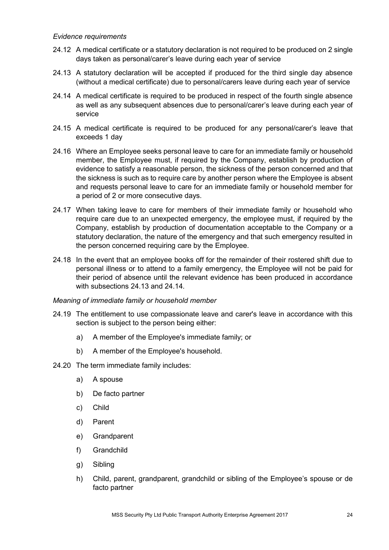#### *Evidence requirements*

- 24.12 A medical certificate or a statutory declaration is not required to be produced on 2 single days taken as personal/carer's leave during each year of service
- 24.13 A statutory declaration will be accepted if produced for the third single day absence (without a medical certificate) due to personal/carers leave during each year of service
- 24.14 A medical certificate is required to be produced in respect of the fourth single absence as well as any subsequent absences due to personal/carer's leave during each year of service
- 24.15 A medical certificate is required to be produced for any personal/carer's leave that exceeds 1 day
- 24.16 Where an Employee seeks personal leave to care for an immediate family or household member, the Employee must, if required by the Company, establish by production of evidence to satisfy a reasonable person, the sickness of the person concerned and that the sickness is such as to require care by another person where the Employee is absent and requests personal leave to care for an immediate family or household member for a period of 2 or more consecutive days.
- 24.17 When taking leave to care for members of their immediate family or household who require care due to an unexpected emergency, the employee must, if required by the Company, establish by production of documentation acceptable to the Company or a statutory declaration, the nature of the emergency and that such emergency resulted in the person concerned requiring care by the Employee.
- 24.18 In the event that an employee books off for the remainder of their rostered shift due to personal illness or to attend to a family emergency, the Employee will not be paid for their period of absence until the relevant evidence has been produced in accordance with subsections 24.13 and 24.14.

#### *Meaning of immediate family or household member*

- 24.19 The entitlement to use compassionate leave and carer's leave in accordance with this section is subject to the person being either:
	- a) A member of the Employee's immediate family; or
	- b) A member of the Employee's household.
- 24.20 The term immediate family includes:
	- a) A spouse
	- b) De facto partner
	- c) Child
	- d) Parent
	- e) Grandparent
	- f) Grandchild
	- g) Sibling
	- h) Child, parent, grandparent, grandchild or sibling of the Employee's spouse or de facto partner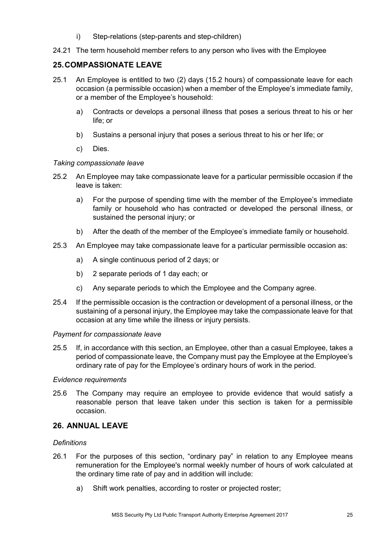- i) Step-relations (step-parents and step-children)
- 24.21 The term household member refers to any person who lives with the Employee

#### <span id="page-27-0"></span>**25.COMPASSIONATE LEAVE**

- 25.1 An Employee is entitled to two (2) days (15.2 hours) of compassionate leave for each occasion (a permissible occasion) when a member of the Employee's immediate family, or a member of the Employee's household:
	- a) Contracts or develops a personal illness that poses a serious threat to his or her life; or
	- b) Sustains a personal injury that poses a serious threat to his or her life; or
	- c) Dies.

#### *Taking compassionate leave*

- 25.2 An Employee may take compassionate leave for a particular permissible occasion if the leave is taken:
	- a) For the purpose of spending time with the member of the Employee's immediate family or household who has contracted or developed the personal illness, or sustained the personal injury; or
	- b) After the death of the member of the Employee's immediate family or household.
- 25.3 An Employee may take compassionate leave for a particular permissible occasion as:
	- a) A single continuous period of 2 days; or
	- b) 2 separate periods of 1 day each; or
	- c) Any separate periods to which the Employee and the Company agree.
- 25.4 If the permissible occasion is the contraction or development of a personal illness, or the sustaining of a personal injury, the Employee may take the compassionate leave for that occasion at any time while the illness or injury persists.

#### *Payment for compassionate leave*

25.5 If, in accordance with this section, an Employee, other than a casual Employee, takes a period of compassionate leave, the Company must pay the Employee at the Employee's ordinary rate of pay for the Employee's ordinary hours of work in the period.

#### *Evidence requirements*

25.6 The Company may require an employee to provide evidence that would satisfy a reasonable person that leave taken under this section is taken for a permissible occasion.

#### <span id="page-27-1"></span>**26. ANNUAL LEAVE**

#### *Definitions*

- 26.1 For the purposes of this section, "ordinary pay" in relation to any Employee means remuneration for the Employee's normal weekly number of hours of work calculated at the ordinary time rate of pay and in addition will include:
	- a) Shift work penalties, according to roster or projected roster;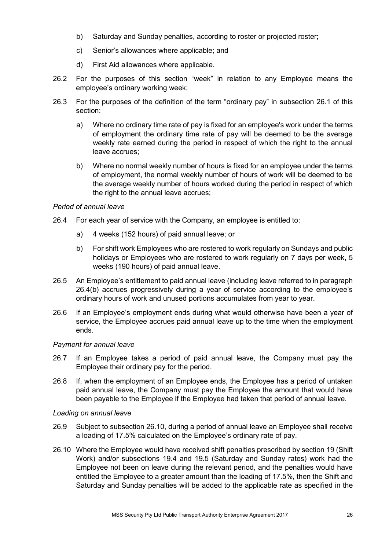- b) Saturday and Sunday penalties, according to roster or projected roster;
- c) Senior's allowances where applicable; and
- d) First Aid allowances where applicable.
- 26.2 For the purposes of this section "week" in relation to any Employee means the employee's ordinary working week;
- 26.3 For the purposes of the definition of the term "ordinary pay" in subsection 26.1 of this section:
	- a) Where no ordinary time rate of pay is fixed for an employee's work under the terms of employment the ordinary time rate of pay will be deemed to be the average weekly rate earned during the period in respect of which the right to the annual leave accrues;
	- b) Where no normal weekly number of hours is fixed for an employee under the terms of employment, the normal weekly number of hours of work will be deemed to be the average weekly number of hours worked during the period in respect of which the right to the annual leave accrues;

#### *Period of annual leave*

- 26.4 For each year of service with the Company, an employee is entitled to:
	- a) 4 weeks (152 hours) of paid annual leave; or
	- b) For shift work Employees who are rostered to work regularly on Sundays and public holidays or Employees who are rostered to work regularly on 7 days per week, 5 weeks (190 hours) of paid annual leave.
- 26.5 An Employee's entitlement to paid annual leave (including leave referred to in paragraph 26.4(b) accrues progressively during a year of service according to the employee's ordinary hours of work and unused portions accumulates from year to year.
- 26.6 If an Employee's employment ends during what would otherwise have been a year of service, the Employee accrues paid annual leave up to the time when the employment ends.

#### *Payment for annual leave*

- 26.7 If an Employee takes a period of paid annual leave, the Company must pay the Employee their ordinary pay for the period.
- 26.8 If, when the employment of an Employee ends, the Employee has a period of untaken paid annual leave, the Company must pay the Employee the amount that would have been payable to the Employee if the Employee had taken that period of annual leave.

#### *Loading on annual leave*

- 26.9 Subject to subsection 26.10, during a period of annual leave an Employee shall receive a loading of 17.5% calculated on the Employee's ordinary rate of pay.
- 26.10 Where the Employee would have received shift penalties prescribed by section 19 (Shift Work) and/or subsections 19.4 and 19.5 (Saturday and Sunday rates) work had the Employee not been on leave during the relevant period, and the penalties would have entitled the Employee to a greater amount than the loading of 17.5%, then the Shift and Saturday and Sunday penalties will be added to the applicable rate as specified in the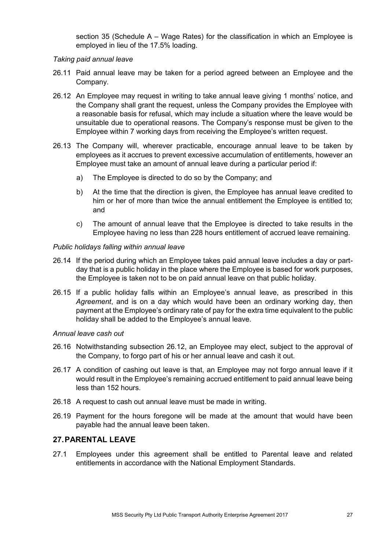section 35 (Schedule A – Wage Rates) for the classification in which an Employee is employed in lieu of the 17.5% loading.

#### *Taking paid annual leave*

- 26.11 Paid annual leave may be taken for a period agreed between an Employee and the Company.
- 26.12 An Employee may request in writing to take annual leave giving 1 months' notice, and the Company shall grant the request, unless the Company provides the Employee with a reasonable basis for refusal, which may include a situation where the leave would be unsuitable due to operational reasons. The Company's response must be given to the Employee within 7 working days from receiving the Employee's written request.
- 26.13 The Company will, wherever practicable, encourage annual leave to be taken by employees as it accrues to prevent excessive accumulation of entitlements, however an Employee must take an amount of annual leave during a particular period if:
	- a) The Employee is directed to do so by the Company; and
	- b) At the time that the direction is given, the Employee has annual leave credited to him or her of more than twice the annual entitlement the Employee is entitled to; and
	- c) The amount of annual leave that the Employee is directed to take results in the Employee having no less than 228 hours entitlement of accrued leave remaining.

#### *Public holidays falling within annual leave*

- 26.14 If the period during which an Employee takes paid annual leave includes a day or partday that is a public holiday in the place where the Employee is based for work purposes, the Employee is taken not to be on paid annual leave on that public holiday.
- 26.15 If a public holiday falls within an Employee's annual leave, as prescribed in this *Agreement*, and is on a day which would have been an ordinary working day, then payment at the Employee's ordinary rate of pay for the extra time equivalent to the public holiday shall be added to the Employee's annual leave.

#### *Annual leave cash out*

- 26.16 Notwithstanding subsection 26.12, an Employee may elect, subject to the approval of the Company, to forgo part of his or her annual leave and cash it out.
- 26.17 A condition of cashing out leave is that, an Employee may not forgo annual leave if it would result in the Employee's remaining accrued entitlement to paid annual leave being less than 152 hours.
- 26.18 A request to cash out annual leave must be made in writing.
- 26.19 Payment for the hours foregone will be made at the amount that would have been payable had the annual leave been taken.

#### <span id="page-29-0"></span>**27.PARENTAL LEAVE**

27.1 Employees under this agreement shall be entitled to Parental leave and related entitlements in accordance with the National Employment Standards.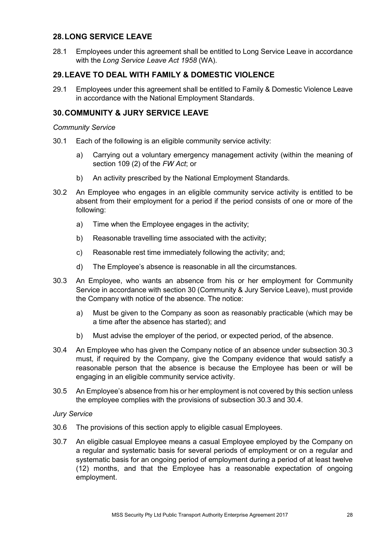#### <span id="page-30-0"></span>**28.LONG SERVICE LEAVE**

28.1 Employees under this agreement shall be entitled to Long Service Leave in accordance with the *Long Service Leave Act 1958* (WA).

#### <span id="page-30-1"></span>**29.LEAVE TO DEAL WITH FAMILY & DOMESTIC VIOLENCE**

29.1 Employees under this agreement shall be entitled to Family & Domestic Violence Leave in accordance with the National Employment Standards.

#### <span id="page-30-2"></span>**30.COMMUNITY & JURY SERVICE LEAVE**

#### *Community Service*

- 30.1 Each of the following is an eligible community service activity:
	- a) Carrying out a voluntary emergency management activity (within the meaning of section 109 (2) of the *FW Act*; or
	- b) An activity prescribed by the National Employment Standards.
- 30.2 An Employee who engages in an eligible community service activity is entitled to be absent from their employment for a period if the period consists of one or more of the following:
	- a) Time when the Employee engages in the activity;
	- b) Reasonable travelling time associated with the activity;
	- c) Reasonable rest time immediately following the activity; and;
	- d) The Employee's absence is reasonable in all the circumstances.
- 30.3 An Employee, who wants an absence from his or her employment for Community Service in accordance with section 30 (Community & Jury Service Leave), must provide the Company with notice of the absence. The notice:
	- a) Must be given to the Company as soon as reasonably practicable (which may be a time after the absence has started); and
	- b) Must advise the employer of the period, or expected period, of the absence.
- 30.4 An Employee who has given the Company notice of an absence under subsection 30.3 must, if required by the Company, give the Company evidence that would satisfy a reasonable person that the absence is because the Employee has been or will be engaging in an eligible community service activity.
- 30.5 An Employee's absence from his or her employment is not covered by this section unless the employee complies with the provisions of subsection 30.3 and 30.4.

#### *Jury Service*

- 30.6 The provisions of this section apply to eligible casual Employees.
- 30.7 An eligible casual Employee means a casual Employee employed by the Company on a regular and systematic basis for several periods of employment or on a regular and systematic basis for an ongoing period of employment during a period of at least twelve (12) months, and that the Employee has a reasonable expectation of ongoing employment.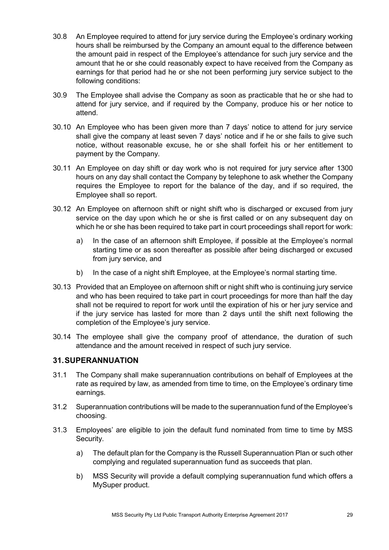- 30.8 An Employee required to attend for jury service during the Employee's ordinary working hours shall be reimbursed by the Company an amount equal to the difference between the amount paid in respect of the Employee's attendance for such jury service and the amount that he or she could reasonably expect to have received from the Company as earnings for that period had he or she not been performing jury service subject to the following conditions:
- 30.9 The Employee shall advise the Company as soon as practicable that he or she had to attend for jury service, and if required by the Company, produce his or her notice to attend.
- 30.10 An Employee who has been given more than 7 days' notice to attend for jury service shall give the company at least seven 7 days' notice and if he or she fails to give such notice, without reasonable excuse, he or she shall forfeit his or her entitlement to payment by the Company.
- 30.11 An Employee on day shift or day work who is not required for jury service after 1300 hours on any day shall contact the Company by telephone to ask whether the Company requires the Employee to report for the balance of the day, and if so required, the Employee shall so report.
- 30.12 An Employee on afternoon shift or night shift who is discharged or excused from jury service on the day upon which he or she is first called or on any subsequent day on which he or she has been required to take part in court proceedings shall report for work:
	- a) In the case of an afternoon shift Employee, if possible at the Employee's normal starting time or as soon thereafter as possible after being discharged or excused from jury service, and
	- b) In the case of a night shift Employee, at the Employee's normal starting time.
- 30.13 Provided that an Employee on afternoon shift or night shift who is continuing jury service and who has been required to take part in court proceedings for more than half the day shall not be required to report for work until the expiration of his or her jury service and if the jury service has lasted for more than 2 days until the shift next following the completion of the Employee's jury service.
- 30.14 The employee shall give the company proof of attendance, the duration of such attendance and the amount received in respect of such jury service.

#### <span id="page-31-0"></span>**31.SUPERANNUATION**

- 31.1 The Company shall make superannuation contributions on behalf of Employees at the rate as required by law, as amended from time to time, on the Employee's ordinary time earnings.
- 31.2 Superannuation contributions will be made to the superannuation fund of the Employee's choosing.
- 31.3 Employees' are eligible to join the default fund nominated from time to time by MSS Security.
	- a) The default plan for the Company is the Russell Superannuation Plan or such other complying and regulated superannuation fund as succeeds that plan.
	- b) MSS Security will provide a default complying superannuation fund which offers a MySuper product.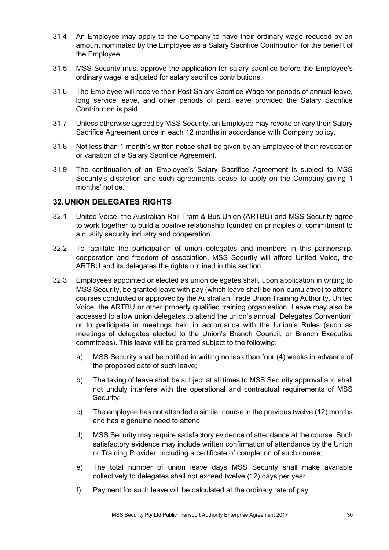- 31.4 An Employee may apply to the Company to have their ordinary wage reduced by an amount nominated by the Employee as a Salary Sacrifice Contribution for the benefit of the Employee.
- 31.5 MSS Security must approve the application for salary sacrifice before the Employee's ordinary wage is adjusted for salary sacrifice contributions.
- 31.6 The Employee will receive their Post Salary Sacrifice Wage for periods of annual leave, long service leave, and other periods of paid leave provided the Salary Sacrifice Contribution is paid.
- 31.7 Unless otherwise agreed by MSS Security, an Employee may revoke or vary their Salary Sacrifice Agreement once in each 12 months in accordance with Company policy.
- 31.8 Not less than 1 month's written notice shall be given by an Employee of their revocation or variation of a Salary Sacrifice Agreement.
- 31.9 The continuation of an Employee's Salary Sacrifice Agreement is subject to MSS Security's discretion and such agreements cease to apply on the Company giving 1 months' notice.

#### <span id="page-32-0"></span>**32.UNION DELEGATES RIGHTS**

- 32.1 United Voice, the Australian Rail Tram & Bus Union (ARTBU) and MSS Security agree to work together to build a positive relationship founded on principles of commitment to a quality security industry and cooperation.
- 32.2 To facilitate the participation of union delegates and members in this partnership, cooperation and freedom of association, MSS Security will afford United Voice, the ARTBU and its delegates the rights outlined in this section.
- 32.3 Employees appointed or elected as union delegates shall, upon application in writing to MSS Security, be granted leave with pay (which leave shall be non-cumulative) to attend courses conducted or approved by the Australian Trade Union Training Authority, United Voice, the ARTBU or other properly qualified training organisation. Leave may also be accessed to allow union delegates to attend the union's annual "Delegates Convention" or to participate in meetings held in accordance with the Union's Rules (such as meetings of delegates elected to the Union's Branch Council, or Branch Executive committees). This leave will be granted subject to the following:
	- a) MSS Security shall be notified in writing no less than four (4) weeks in advance of the proposed date of such leave;
	- b) The taking of leave shall be subject at all times to MSS Security approval and shall not unduly interfere with the operational and contractual requirements of MSS Security;
	- c) The employee has not attended a similar course in the previous twelve (12) months and has a genuine need to attend;
	- d) MSS Security may require satisfactory evidence of attendance at the course. Such satisfactory evidence may include written confirmation of attendance by the Union or Training Provider, including a certificate of completion of such course;
	- e) The total number of union leave days MSS Security shall make available collectively to delegates shall not exceed twelve (12) days per year.
	- f) Payment for such leave will be calculated at the ordinary rate of pay.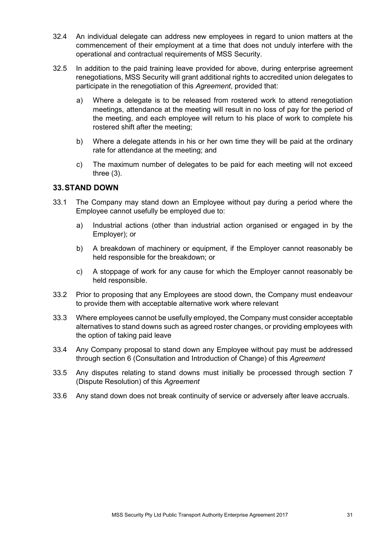- 32.4 An individual delegate can address new employees in regard to union matters at the commencement of their employment at a time that does not unduly interfere with the operational and contractual requirements of MSS Security.
- 32.5 In addition to the paid training leave provided for above, during enterprise agreement renegotiations, MSS Security will grant additional rights to accredited union delegates to participate in the renegotiation of this *Agreement*, provided that:
	- a) Where a delegate is to be released from rostered work to attend renegotiation meetings, attendance at the meeting will result in no loss of pay for the period of the meeting, and each employee will return to his place of work to complete his rostered shift after the meeting;
	- b) Where a delegate attends in his or her own time they will be paid at the ordinary rate for attendance at the meeting; and
	- c) The maximum number of delegates to be paid for each meeting will not exceed three (3).

#### <span id="page-33-0"></span>**33.STAND DOWN**

- 33.1 The Company may stand down an Employee without pay during a period where the Employee cannot usefully be employed due to:
	- a) Industrial actions (other than industrial action organised or engaged in by the Employer); or
	- b) A breakdown of machinery or equipment, if the Employer cannot reasonably be held responsible for the breakdown; or
	- c) A stoppage of work for any cause for which the Employer cannot reasonably be held responsible.
- 33.2 Prior to proposing that any Employees are stood down, the Company must endeavour to provide them with acceptable alternative work where relevant
- 33.3 Where employees cannot be usefully employed, the Company must consider acceptable alternatives to stand downs such as agreed roster changes, or providing employees with the option of taking paid leave
- 33.4 Any Company proposal to stand down any Employee without pay must be addressed through section 6 (Consultation and Introduction of Change) of this *Agreement*
- 33.5 Any disputes relating to stand downs must initially be processed through section 7 (Dispute Resolution) of this *Agreement*
- 33.6 Any stand down does not break continuity of service or adversely after leave accruals.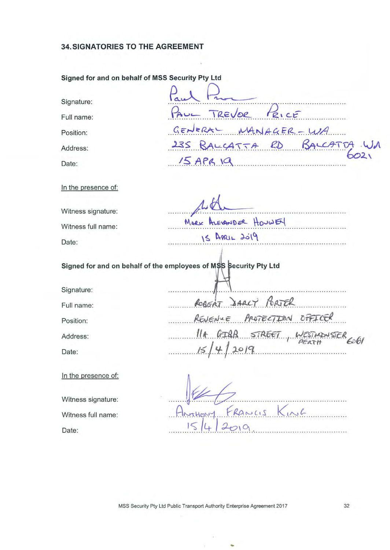#### **34. SIGNATORIES TO THE AGREEMENT**

# **Signed for and on behalf of MSS Security Pty Ltd**  Signed for and on behalf of MSS Security Pty Ltd<br>Signature:

Full name:

Position:  $G \in N \in R$   $N(A) A C \in R - U$ 

Address:

Date:

In the presence of:

Witness signature:

Witness full name:

Date:

MARK ALEXANDER HOUWEN 15 APRIL 2019

·························· ···················n ·· ··· ·· ······················· PAUL TREVOR PRICE

<sup>00</sup> 00 oo £A~~s~ *k oo* 00 *.RJ>..* 00.00. oo&~~Zo lJA

Signed for and on behalf of the employees of M\$S Security Pty Ltd

 $15$  APB 19

Signature:

Full name: **ROBERT** 3ARCY PORTER

Position: REVENUE PROTECTION OFFICER

Address:

Date:

In the presence of:

Date: Witness signature: Witness full name:

...  $$\mathcal{H}$$ <br>Annuary Francis Kink

**REJENTE PROTECTION OFFICER**<br>11 GIRB STREET, WESTMONSTER

 $15/4/2019$  PEATH 6

MSS Security Pty Ltd Public Transport Authority Enterprise Agreement 2017 32

-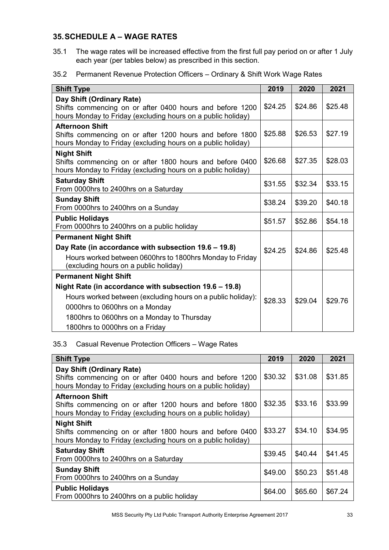#### <span id="page-35-0"></span>**35.SCHEDULE A – WAGE RATES**

- 35.1 The wage rates will be increased effective from the first full pay period on or after 1 July each year (per tables below) as prescribed in this section.
- 35.2 Permanent Revenue Protection Officers Ordinary & Shift Work Wage Rates

| <b>Shift Type</b>                                                                                                                                                                                                                       | 2019    | 2020    | 2021    |
|-----------------------------------------------------------------------------------------------------------------------------------------------------------------------------------------------------------------------------------------|---------|---------|---------|
| Day Shift (Ordinary Rate)<br>Shifts commencing on or after 0400 hours and before 1200<br>hours Monday to Friday (excluding hours on a public holiday)                                                                                   |         | \$24.86 | \$25.48 |
| <b>Afternoon Shift</b><br>Shifts commencing on or after 1200 hours and before 1800<br>hours Monday to Friday (excluding hours on a public holiday)                                                                                      | \$25.88 | \$26.53 | \$27.19 |
| <b>Night Shift</b><br>Shifts commencing on or after 1800 hours and before 0400<br>hours Monday to Friday (excluding hours on a public holiday)                                                                                          |         | \$27.35 | \$28.03 |
| <b>Saturday Shift</b><br>From 0000hrs to 2400hrs on a Saturday                                                                                                                                                                          |         | \$32.34 | \$33.15 |
| <b>Sunday Shift</b><br>From 0000hrs to 2400hrs on a Sunday                                                                                                                                                                              |         | \$39.20 | \$40.18 |
| <b>Public Holidays</b><br>From 0000hrs to 2400hrs on a public holiday                                                                                                                                                                   |         | \$52.86 | \$54.18 |
| <b>Permanent Night Shift</b>                                                                                                                                                                                                            |         |         |         |
| Day Rate (in accordance with subsection 19.6 – 19.8)<br>Hours worked between 0600hrs to 1800hrs Monday to Friday<br>(excluding hours on a public holiday)                                                                               |         | \$24.86 | \$25.48 |
| <b>Permanent Night Shift</b>                                                                                                                                                                                                            |         |         |         |
| Night Rate (in accordance with subsection 19.6 - 19.8)<br>Hours worked between (excluding hours on a public holiday):<br>0000hrs to 0600hrs on a Monday<br>1800hrs to 0600hrs on a Monday to Thursday<br>1800hrs to 0000hrs on a Friday |         | \$29.04 | \$29.76 |

#### 35.3 Casual Revenue Protection Officers – Wage Rates

| <b>Shift Type</b>                                                                                                                                     | 2019    | 2020    | 2021    |
|-------------------------------------------------------------------------------------------------------------------------------------------------------|---------|---------|---------|
| Day Shift (Ordinary Rate)<br>Shifts commencing on or after 0400 hours and before 1200<br>hours Monday to Friday (excluding hours on a public holiday) | \$30.32 | \$31.08 | \$31.85 |
| <b>Afternoon Shift</b><br>Shifts commencing on or after 1200 hours and before 1800<br>hours Monday to Friday (excluding hours on a public holiday)    | \$32.35 | \$33.16 | \$33.99 |
| <b>Night Shift</b><br>Shifts commencing on or after 1800 hours and before 0400<br>hours Monday to Friday (excluding hours on a public holiday)        | \$33.27 | \$34.10 | \$34.95 |
| <b>Saturday Shift</b><br>From 0000hrs to 2400hrs on a Saturday                                                                                        | \$39.45 | \$40.44 | \$41.45 |
| <b>Sunday Shift</b><br>From 0000hrs to 2400hrs on a Sunday                                                                                            | \$49.00 | \$50.23 | \$51.48 |
| <b>Public Holidays</b><br>From 0000hrs to 2400hrs on a public holiday                                                                                 | \$64.00 | \$65.60 | \$67.24 |